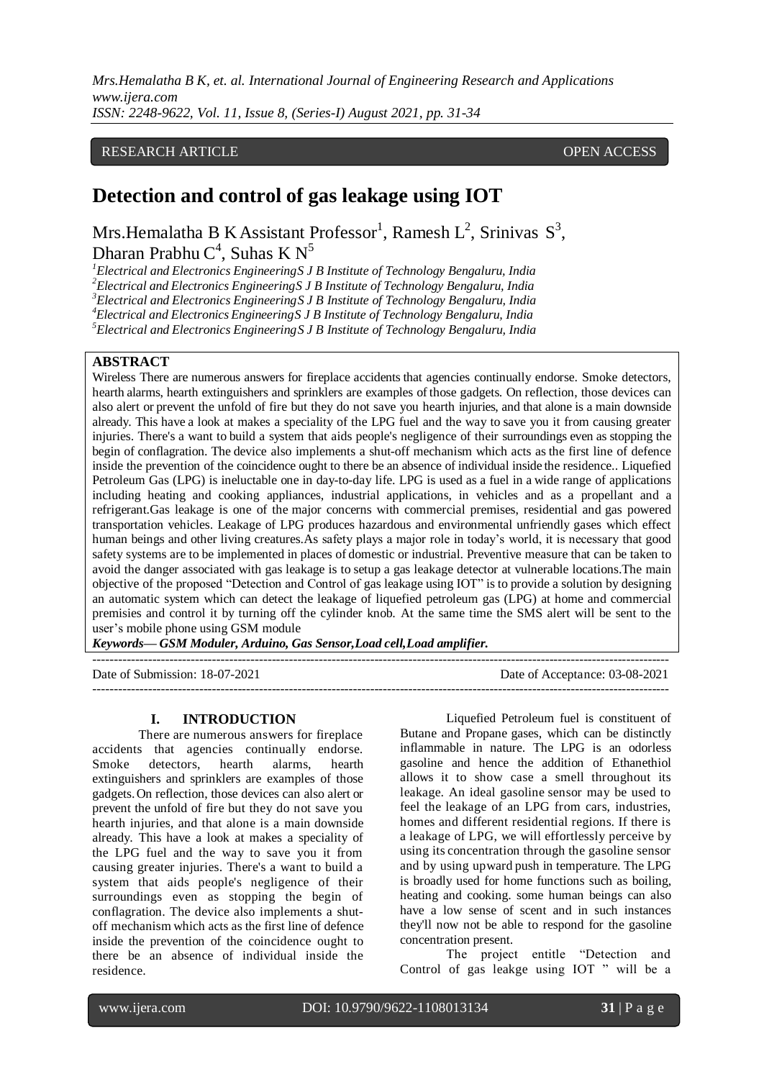# RESEARCH ARTICLE **CONSERVERS** OPEN ACCESS

# **Detection and control of gas leakage using IOT**

Mrs. Hemalatha B K Assistant Professor<sup>1</sup>, Ramesh L<sup>2</sup>, Srinivas S<sup>3</sup>, Dharan Prabhu C<sup>4</sup>, Suhas K  $N^5$ 

*Electrical and Electronics EngineeringS J B Institute of Technology Bengaluru, India Electrical and Electronics EngineeringS J B Institute of Technology Bengaluru, India Electrical and Electronics EngineeringS J B Institute of Technology Bengaluru, India Electrical and Electronics EngineeringS J B Institute of Technology Bengaluru, India Electrical and Electronics EngineeringS J B Institute of Technology Bengaluru, India*

# **ABSTRACT**

Wireless There are numerous answers for fireplace accidents that agencies continually endorse. Smoke detectors, hearth alarms, hearth extinguishers and sprinklers are examples of those gadgets. On reflection, those devices can also alert or prevent the unfold of fire but they do not save you hearth injuries, and that alone is a main downside already. This have a look at makes a speciality of the LPG fuel and the way to save you it from causing greater injuries. There's a want to build a system that aids people's negligence of their surroundings even as stopping the begin of conflagration. The device also implements a shut-off mechanism which acts as the first line of defence inside the prevention of the coincidence ought to there be an absence of individual inside the residence.. Liquefied Petroleum Gas (LPG) is ineluctable one in day-to-day life. LPG is used as a fuel in a wide range of applications including heating and cooking appliances, industrial applications, in vehicles and as a propellant and a refrigerant.Gas leakage is one of the major concerns with commercial premises, residential and gas powered transportation vehicles. Leakage of LPG produces hazardous and environmental unfriendly gases which effect human beings and other living creatures.As safety plays a major role in today's world, it is necessary that good safety systems are to be implemented in places of domestic or industrial. Preventive measure that can be taken to avoid the danger associated with gas leakage is to setup a gas leakage detector at vulnerable locations.The main objective of the proposed "Detection and Control of gas leakage using IOT" is to provide a solution by designing an automatic system which can detect the leakage of liquefied petroleum gas (LPG) at home and commercial premisies and control it by turning off the cylinder knob. At the same time the SMS alert will be sent to the user's mobile phone using GSM module

*Keywords— GSM Moduler, Arduino, Gas Sensor,Load cell,Load amplifier.*

---------------------------------------------------------------------------------------------------------------------------------------

Date of Submission: 18-07-2021 Date of Acceptance: 03-08-2021  $-1\leq i\leq n-1$ 

## **I. INTRODUCTION**

There are numerous answers for fireplace accidents that agencies continually endorse. Smoke detectors, hearth alarms, hearth extinguishers and sprinklers are examples of those gadgets.On reflection, those devices can also alert or prevent the unfold of fire but they do not save you hearth injuries, and that alone is a main downside already. This have a look at makes a speciality of the LPG fuel and the way to save you it from causing greater injuries. There's a want to build a system that aids people's negligence of their surroundings even as stopping the begin of conflagration. The device also implements a shutoff mechanism which acts as the first line of defence inside the prevention of the coincidence ought to there be an absence of individual inside the residence.

Liquefied Petroleum fuel is constituent of Butane and Propane gases, which can be distinctly inflammable in nature. The LPG is an odorless gasoline and hence the addition of Ethanethiol allows it to show case a smell throughout its leakage. An ideal gasoline sensor may be used to feel the leakage of an LPG from cars, industries, homes and different residential regions. If there is a leakage of LPG, we will effortlessly perceive by using its concentration through the gasoline sensor and by using upward push in temperature. The LPG is broadly used for home functions such as boiling, heating and cooking. some human beings can also have a low sense of scent and in such instances they'll now not be able to respond for the gasoline concentration present.

The project entitle "Detection and Control of gas leakge using IOT " will be a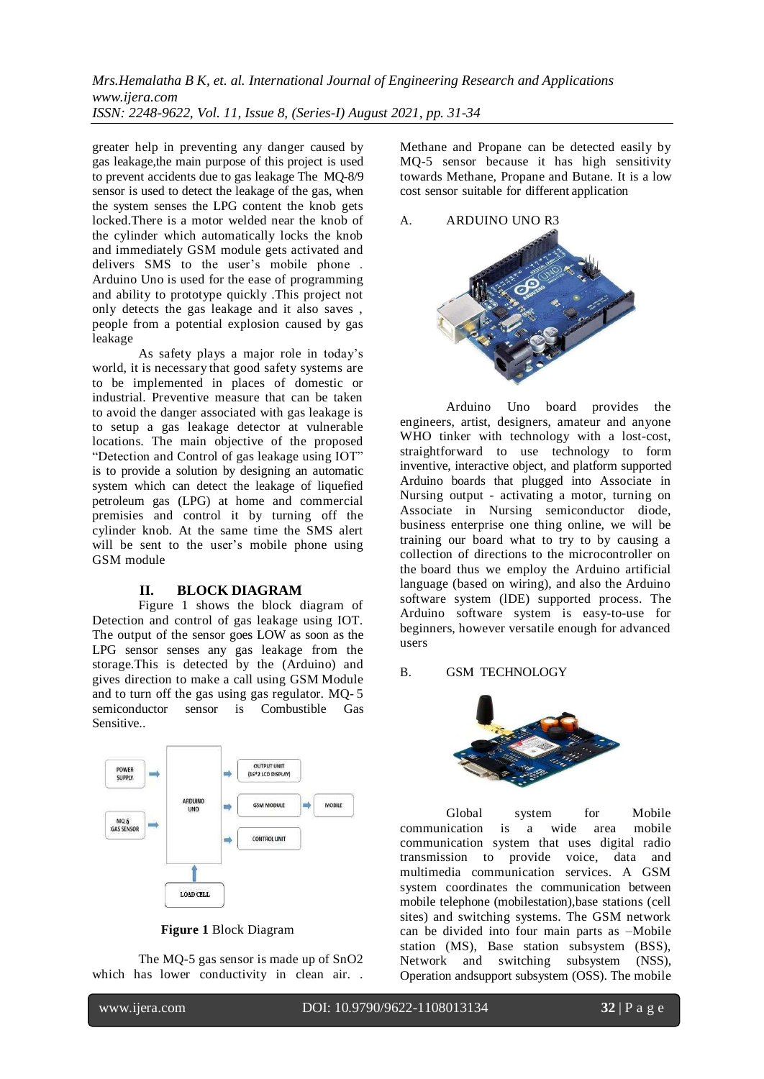greater help in preventing any danger caused by gas leakage,the main purpose of this project is used to prevent accidents due to gas leakage The MQ-8/9 sensor is used to detect the leakage of the gas, when the system senses the LPG content the knob gets locked.There is a motor welded near the knob of the cylinder which automatically locks the knob and immediately GSM module gets activated and delivers SMS to the user's mobile phone . Arduino Uno is used for the ease of programming and ability to prototype quickly .This project not only detects the gas leakage and it also saves , people from a potential explosion caused by gas leakage

As safety plays a major role in today's world, it is necessary that good safety systems are to be implemented in places of domestic or industrial. Preventive measure that can be taken to avoid the danger associated with gas leakage is to setup a gas leakage detector at vulnerable locations. The main objective of the proposed "Detection and Control of gas leakage using IOT" is to provide a solution by designing an automatic system which can detect the leakage of liquefied petroleum gas (LPG) at home and commercial premisies and control it by turning off the cylinder knob. At the same time the SMS alert will be sent to the user's mobile phone using GSM module

#### **II. BLOCK DIAGRAM**

Figure 1 shows the block diagram of Detection and control of gas leakage using IOT. The output of the sensor goes LOW as soon as the LPG sensor senses any gas leakage from the storage.This is detected by the (Arduino) and gives direction to make a call using GSM Module and to turn off the gas using gas regulator. MQ- 5 semiconductor sensor is Combustible Gas Sensitive..



**Figure 1** Block Diagram

The MQ-5 gas sensor is made up of SnO2 which has lower conductivity in clean air. . Methane and Propane can be detected easily by MQ-5 sensor because it has high sensitivity towards Methane, Propane and Butane. It is a low cost sensor suitable for different application

## A. ARDUINO UNO R3



Arduino Uno board provides the engineers, artist, designers, amateur and anyone WHO tinker with technology with a lost-cost, straightforward to use technology to form inventive, interactive object, and platform supported Arduino boards that plugged into Associate in Nursing output - activating a motor, turning on Associate in Nursing semiconductor diode, business enterprise one thing online, we will be training our board what to try to by causing a collection of directions to the microcontroller on the board thus we employ the Arduino artificial language (based on wiring), and also the Arduino software system (lDE) supported process. The Arduino software system is easy-to-use for beginners, however versatile enough for advanced users

#### B. GSM TECHNOLOGY



Global system for Mobile communication is a wide area mobile communication system that uses digital radio transmission to provide voice, data and multimedia communication services. A GSM system coordinates the communication between mobile telephone (mobilestation),base stations (cell sites) and switching systems. The GSM network can be divided into four main parts as –Mobile station (MS), Base station subsystem (BSS), Network and switching subsystem (NSS), Operation andsupport subsystem (OSS). The mobile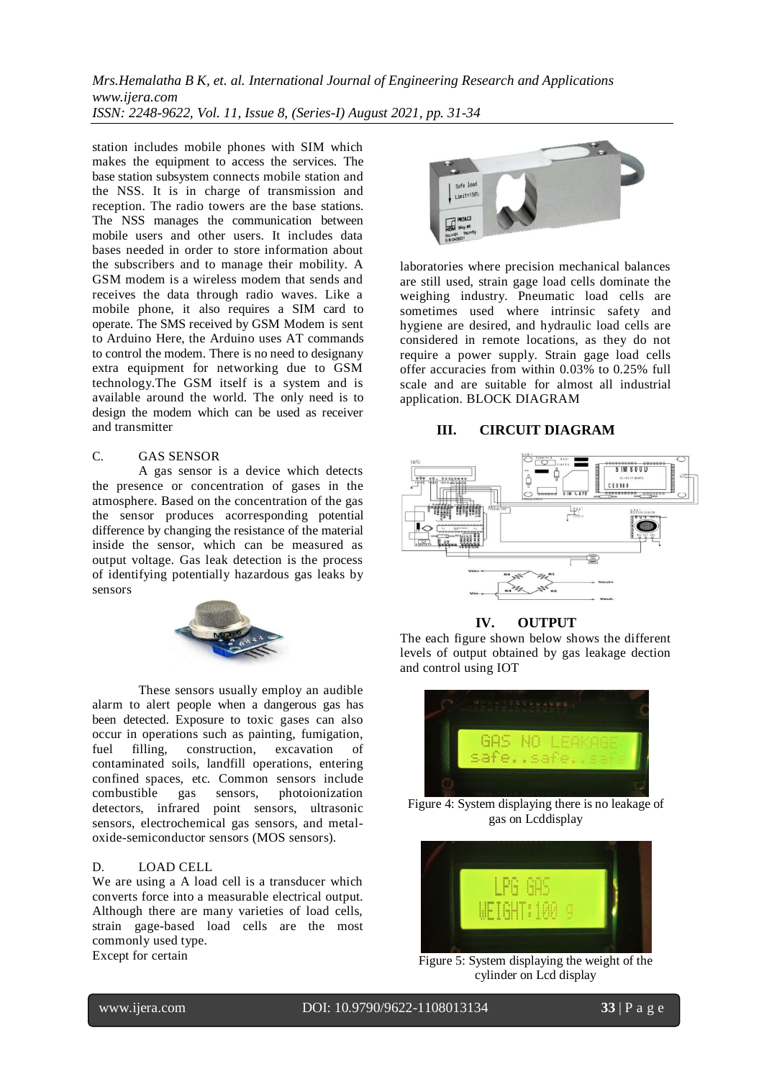station includes mobile phones with SIM which makes the equipment to access the services. The base station subsystem connects mobile station and the NSS. It is in charge of transmission and reception. The radio towers are the base stations. The NSS manages the communication between mobile users and other users. It includes data bases needed in order to store information about the subscribers and to manage their mobility. A GSM modem is a wireless modem that sends and receives the data through radio waves. Like a mobile phone, it also requires a SIM card to operate. The SMS received by GSM Modem is sent to Arduino Here, the Arduino uses AT commands to control the modem. There is no need to designany extra equipment for networking due to GSM technology.The GSM itself is a system and is available around the world. The only need is to design the modem which can be used as receiver and transmitter

#### C. GAS SENSOR

A gas sensor is a device which detects the presence or concentration of gases in the atmosphere. Based on the concentration of the gas the sensor produces acorresponding potential difference by changing the resistance of the material inside the sensor, which can be measured as output voltage. Gas leak detection is the process of identifying potentially hazardous gas leaks by sensors



These sensors usually employ an audible alarm to alert people when a dangerous gas has been detected. Exposure to toxic gases can also occur in operations such as painting, fumigation, fuel filling, construction, excavation of contaminated soils, landfill operations, entering confined spaces, etc. Common sensors include combustible gas sensors, photoionization detectors, infrared point sensors, ultrasonic sensors, electrochemical gas sensors, and metaloxide-semiconductor sensors (MOS sensors).

## D. LOAD CELL

We are using a A load cell is a transducer which converts force into a measurable electrical output. Although there are many varieties of load cells, strain gage-based load cells are the most commonly used type. Except for certain



laboratories where precision mechanical balances are still used, strain gage load cells dominate the weighing industry. Pneumatic load cells are sometimes used where intrinsic safety and hygiene are desired, and hydraulic load cells are considered in remote locations, as they do not require a power supply. Strain gage load cells offer accuracies from within 0.03% to 0.25% full scale and are suitable for almost all industrial application. BLOCK DIAGRAM





## **IV. OUTPUT**

The each figure shown below shows the different levels of output obtained by gas leakage dection and control using IOT



Figure 4: System displaying there is no leakage of gas on Lcddisplay



Figure 5: System displaying the weight of the cylinder on Lcd display